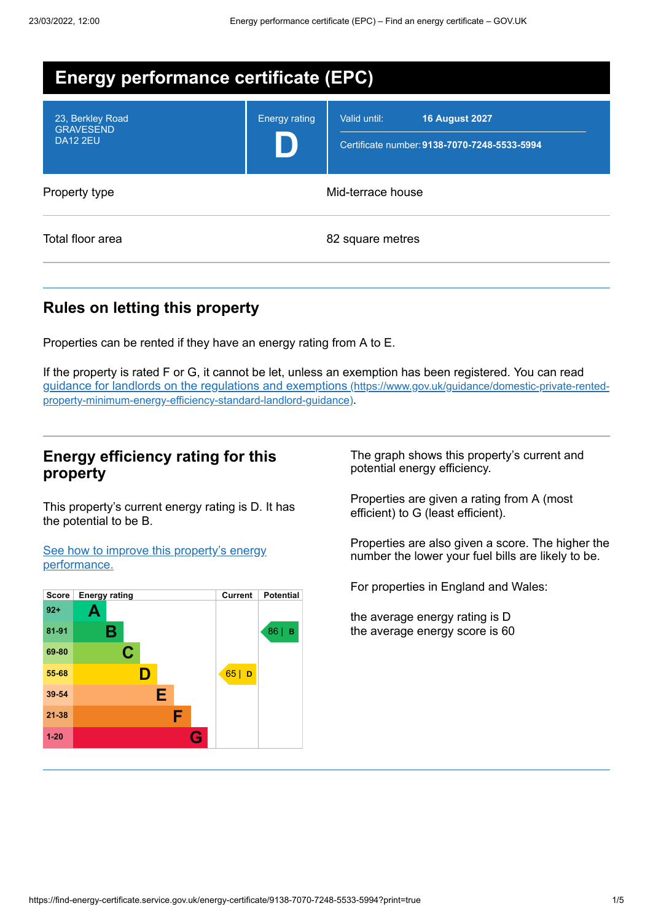| <b>Energy performance certificate (EPC)</b>             |                      |                                                                                       |
|---------------------------------------------------------|----------------------|---------------------------------------------------------------------------------------|
| 23, Berkley Road<br><b>GRAVESEND</b><br><b>DA12 2EU</b> | <b>Energy rating</b> | Valid until:<br><b>16 August 2027</b><br>Certificate number: 9138-7070-7248-5533-5994 |
| Property type                                           | Mid-terrace house    |                                                                                       |
| Total floor area                                        |                      | 82 square metres                                                                      |

## **Rules on letting this property**

Properties can be rented if they have an energy rating from A to E.

If the property is rated F or G, it cannot be let, unless an exemption has been registered. You can read guidance for landlords on the regulations and exemptions (https://www.gov.uk/guidance/domestic-private-rented[property-minimum-energy-efficiency-standard-landlord-guidance\)](https://www.gov.uk/guidance/domestic-private-rented-property-minimum-energy-efficiency-standard-landlord-guidance).

#### **Energy efficiency rating for this property**

This property's current energy rating is D. It has the potential to be B.

See how to improve this property's energy [performance.](#page-2-0)



The graph shows this property's current and potential energy efficiency.

Properties are given a rating from A (most efficient) to G (least efficient).

Properties are also given a score. The higher the number the lower your fuel bills are likely to be.

For properties in England and Wales:

the average energy rating is D the average energy score is 60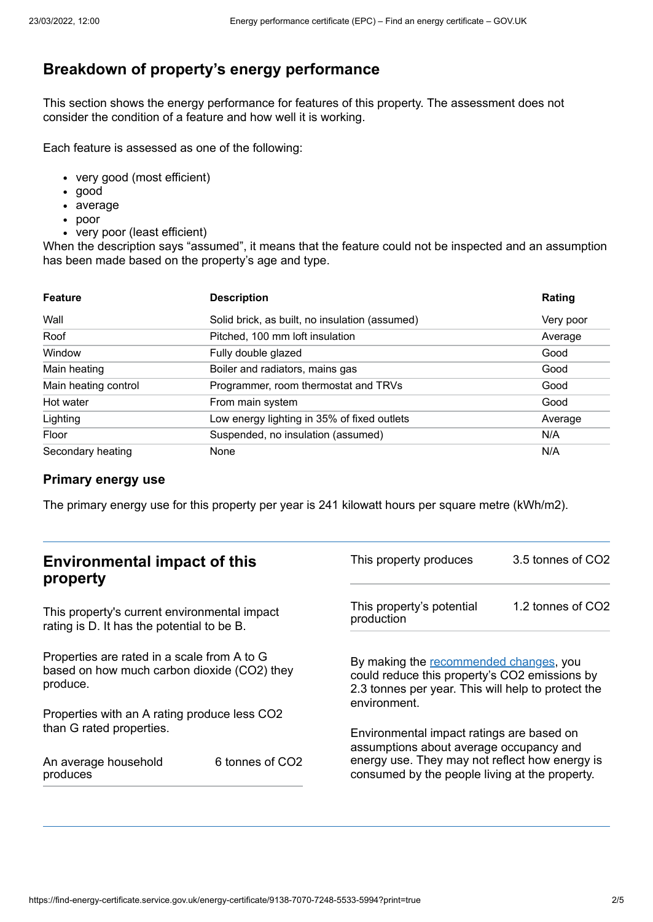## **Breakdown of property's energy performance**

This section shows the energy performance for features of this property. The assessment does not consider the condition of a feature and how well it is working.

Each feature is assessed as one of the following:

- very good (most efficient)
- good
- average
- poor
- very poor (least efficient)

When the description says "assumed", it means that the feature could not be inspected and an assumption has been made based on the property's age and type.

| <b>Feature</b>       | <b>Description</b>                             | Rating    |
|----------------------|------------------------------------------------|-----------|
| Wall                 | Solid brick, as built, no insulation (assumed) | Very poor |
| Roof                 | Pitched, 100 mm loft insulation                | Average   |
| Window               | Fully double glazed                            | Good      |
| Main heating         | Boiler and radiators, mains gas                | Good      |
| Main heating control | Programmer, room thermostat and TRVs           | Good      |
| Hot water            | From main system                               | Good      |
| Lighting             | Low energy lighting in 35% of fixed outlets    | Average   |
| Floor                | Suspended, no insulation (assumed)             | N/A       |
| Secondary heating    | None                                           | N/A       |

#### **Primary energy use**

The primary energy use for this property per year is 241 kilowatt hours per square metre (kWh/m2).

| <b>Environmental impact of this</b><br>property                                                        |                             | This property produces                                                                                                                                        | 3.5 tonnes of CO2 |
|--------------------------------------------------------------------------------------------------------|-----------------------------|---------------------------------------------------------------------------------------------------------------------------------------------------------------|-------------------|
| This property's current environmental impact<br>rating is D. It has the potential to be B.             |                             | This property's potential<br>production                                                                                                                       | 1.2 tonnes of CO2 |
| Properties are rated in a scale from A to G<br>based on how much carbon dioxide (CO2) they<br>produce. |                             | By making the recommended changes, you<br>could reduce this property's CO2 emissions by<br>2.3 tonnes per year. This will help to protect the<br>environment. |                   |
| Properties with an A rating produce less CO2                                                           |                             |                                                                                                                                                               |                   |
| than G rated properties.<br>An average household                                                       | 6 tonnes of CO <sub>2</sub> | Environmental impact ratings are based on<br>assumptions about average occupancy and<br>energy use. They may not reflect how energy is                        |                   |
| produces                                                                                               |                             | consumed by the people living at the property.                                                                                                                |                   |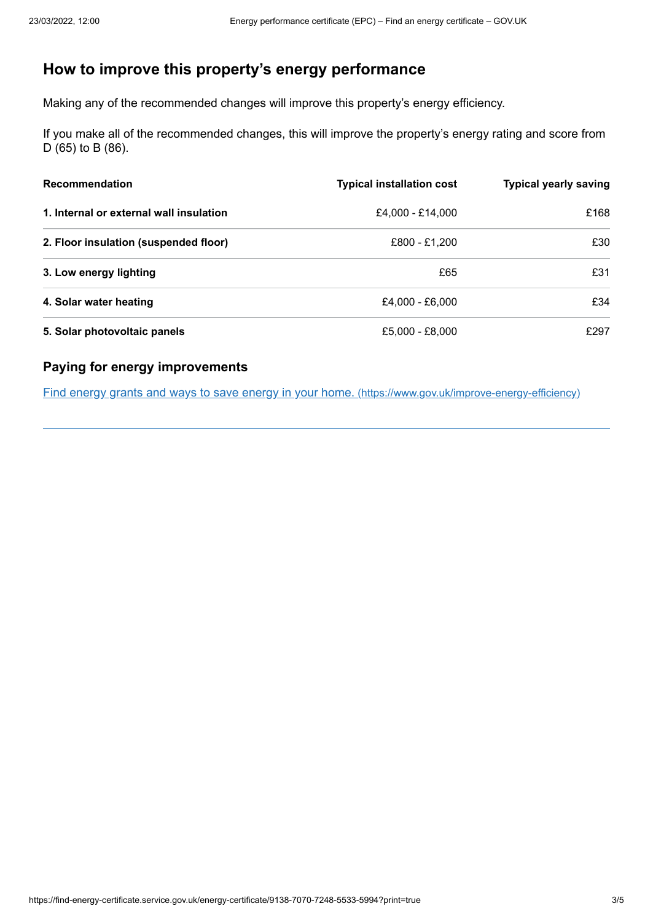## <span id="page-2-0"></span>**How to improve this property's energy performance**

Making any of the recommended changes will improve this property's energy efficiency.

If you make all of the recommended changes, this will improve the property's energy rating and score from D (65) to B (86).

| <b>Recommendation</b>                   | <b>Typical installation cost</b> | <b>Typical yearly saving</b> |
|-----------------------------------------|----------------------------------|------------------------------|
| 1. Internal or external wall insulation | £4.000 - £14.000                 | £168                         |
| 2. Floor insulation (suspended floor)   | £800 - £1,200                    | £30                          |
| 3. Low energy lighting                  | £65                              | £31                          |
| 4. Solar water heating                  | £4.000 - £6.000                  | £34                          |
| 5. Solar photovoltaic panels            | £5,000 - £8,000                  | £297                         |

#### **Paying for energy improvements**

Find energy grants and ways to save energy in your home. [\(https://www.gov.uk/improve-energy-efficiency\)](https://www.gov.uk/improve-energy-efficiency)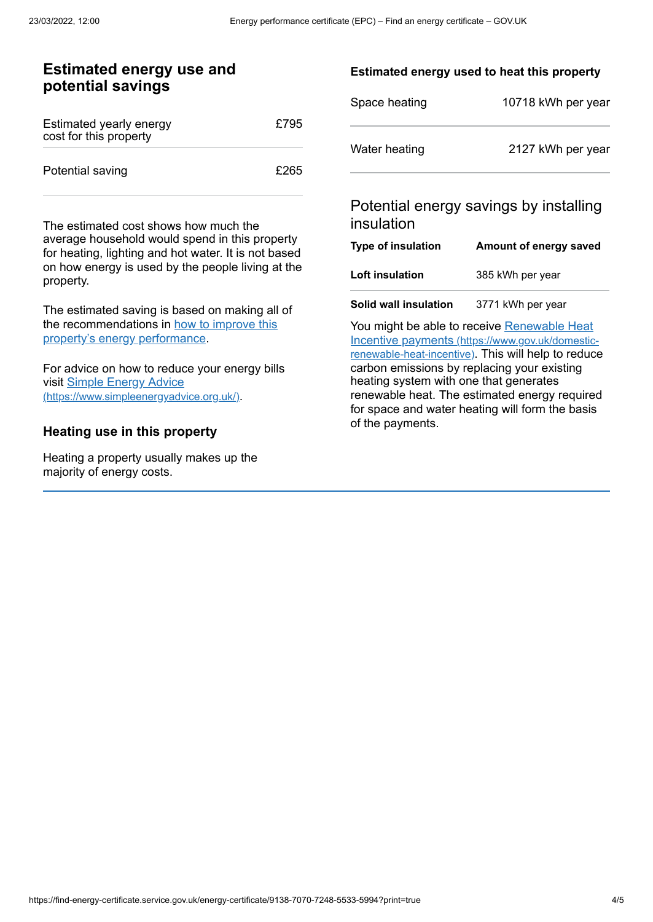#### **Estimated energy use and potential savings**

| Estimated yearly energy<br>cost for this property | £795 |
|---------------------------------------------------|------|
| Potential saving                                  | £265 |

The estimated cost shows how much the average household would spend in this property for heating, lighting and hot water. It is not based on how energy is used by the people living at the property.

The estimated saving is based on making all of the [recommendations](#page-2-0) in how to improve this property's energy performance.

For advice on how to reduce your energy bills visit Simple Energy Advice [\(https://www.simpleenergyadvice.org.uk/\)](https://www.simpleenergyadvice.org.uk/).

#### **Heating use in this property**

Heating a property usually makes up the majority of energy costs.

#### **Estimated energy used to heat this property**

| Space heating | 10718 kWh per year |
|---------------|--------------------|
| Water heating | 2127 kWh per year  |

#### Potential energy savings by installing insulation

| Type of insulation | Amount of energy saved |
|--------------------|------------------------|
| Loft insulation    | 385 kWh per year       |
|                    |                        |

**Solid wall insulation** 3771 kWh per year

You might be able to receive Renewable Heat Incentive payments [\(https://www.gov.uk/domestic](https://www.gov.uk/domestic-renewable-heat-incentive)renewable-heat-incentive). This will help to reduce carbon emissions by replacing your existing heating system with one that generates renewable heat. The estimated energy required for space and water heating will form the basis of the payments.